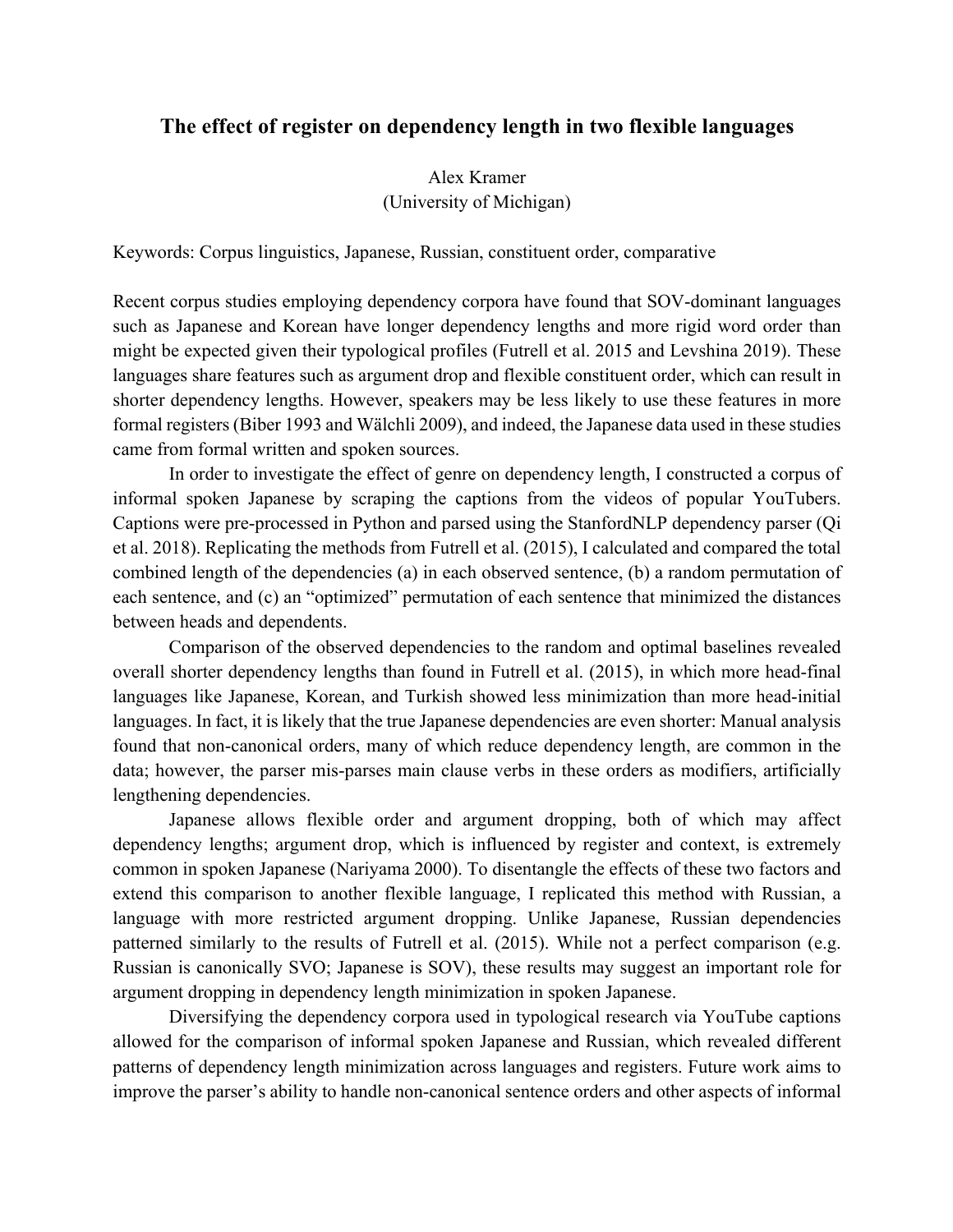## **The effect of register on dependency length in two flexible languages**

Alex Kramer (University of Michigan)

Keywords: Corpus linguistics, Japanese, Russian, constituent order, comparative

Recent corpus studies employing dependency corpora have found that SOV-dominant languages such as Japanese and Korean have longer dependency lengths and more rigid word order than might be expected given their typological profiles (Futrell et al. 2015 and Levshina 2019). These languages share features such as argument drop and flexible constituent order, which can result in shorter dependency lengths. However, speakers may be less likely to use these features in more formal registers (Biber 1993 and Wälchli 2009), and indeed, the Japanese data used in these studies came from formal written and spoken sources.

In order to investigate the effect of genre on dependency length, I constructed a corpus of informal spoken Japanese by scraping the captions from the videos of popular YouTubers. Captions were pre-processed in Python and parsed using the StanfordNLP dependency parser (Qi et al. 2018). Replicating the methods from Futrell et al. (2015), I calculated and compared the total combined length of the dependencies (a) in each observed sentence, (b) a random permutation of each sentence, and (c) an "optimized" permutation of each sentence that minimized the distances between heads and dependents.

Comparison of the observed dependencies to the random and optimal baselines revealed overall shorter dependency lengths than found in Futrell et al. (2015), in which more head-final languages like Japanese, Korean, and Turkish showed less minimization than more head-initial languages. In fact, it is likely that the true Japanese dependencies are even shorter: Manual analysis found that non-canonical orders, many of which reduce dependency length, are common in the data; however, the parser mis-parses main clause verbs in these orders as modifiers, artificially lengthening dependencies.

Japanese allows flexible order and argument dropping, both of which may affect dependency lengths; argument drop, which is influenced by register and context, is extremely common in spoken Japanese (Nariyama 2000). To disentangle the effects of these two factors and extend this comparison to another flexible language, I replicated this method with Russian, a language with more restricted argument dropping. Unlike Japanese, Russian dependencies patterned similarly to the results of Futrell et al. (2015). While not a perfect comparison (e.g. Russian is canonically SVO; Japanese is SOV), these results may suggest an important role for argument dropping in dependency length minimization in spoken Japanese.

Diversifying the dependency corpora used in typological research via YouTube captions allowed for the comparison of informal spoken Japanese and Russian, which revealed different patterns of dependency length minimization across languages and registers. Future work aims to improve the parser's ability to handle non-canonical sentence orders and other aspects of informal